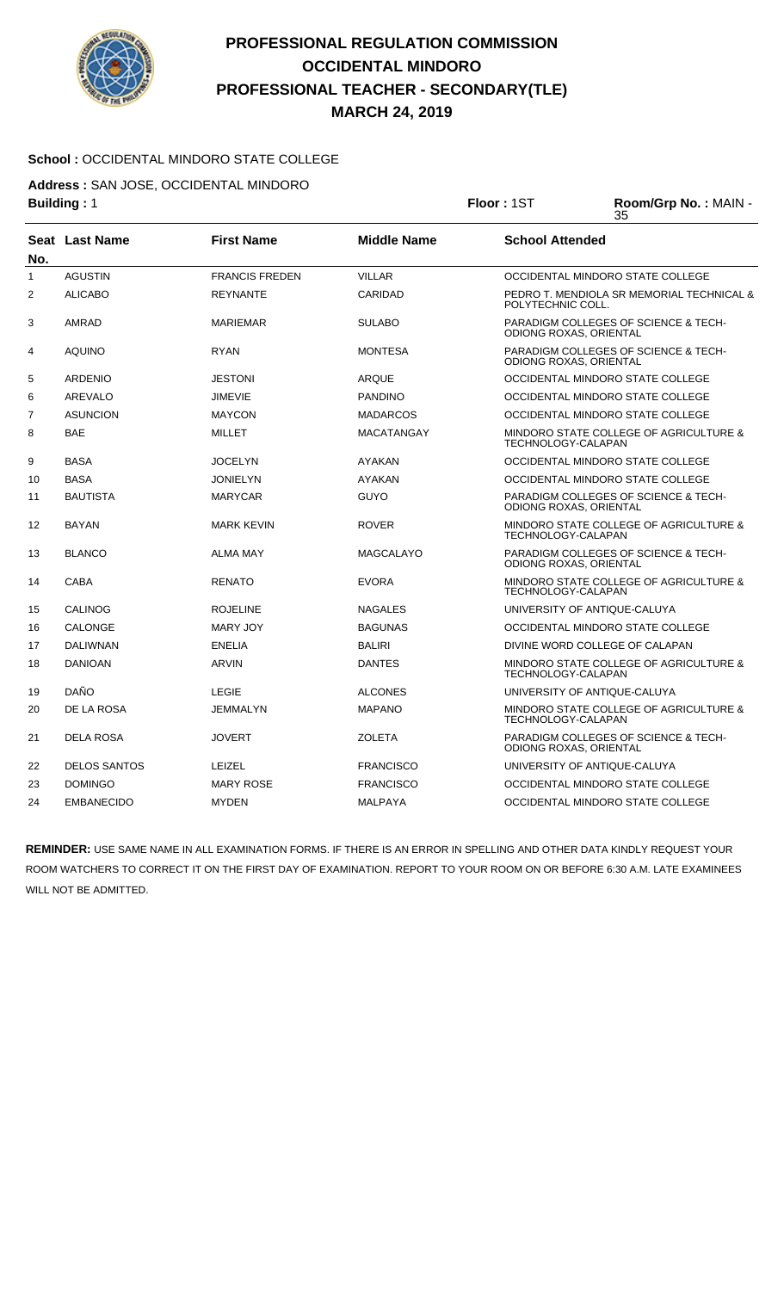

# **PROFESSIONAL REGULATION COMMISSION OCCIDENTAL MINDORO PROFESSIONAL TEACHER - SECONDARY(TLE) MARCH 24, 2019**

## **School :** OCCIDENTAL MINDORO STATE COLLEGE

**Address :** SAN JOSE, OCCIDENTAL MINDORO

|                | <b>Building: 1</b>  |                       | Floor: 1ST         | Room/Grp No.: MAIN -<br>35 |                                                              |  |
|----------------|---------------------|-----------------------|--------------------|----------------------------|--------------------------------------------------------------|--|
| No.            | Seat Last Name      | <b>First Name</b>     | <b>Middle Name</b> | <b>School Attended</b>     |                                                              |  |
| $\mathbf{1}$   | <b>AGUSTIN</b>      | <b>FRANCIS FREDEN</b> | <b>VILLAR</b>      |                            | OCCIDENTAL MINDORO STATE COLLEGE                             |  |
| 2              | <b>ALICABO</b>      | <b>REYNANTE</b>       | CARIDAD            | POLYTECHNIC COLL.          | PEDRO T. MENDIOLA SR MEMORIAL TECHNICAL &                    |  |
| 3              | AMRAD               | <b>MARIEMAR</b>       | <b>SULABO</b>      | ODIONG ROXAS, ORIENTAL     | PARADIGM COLLEGES OF SCIENCE & TECH-                         |  |
| 4              | <b>AQUINO</b>       | <b>RYAN</b>           | <b>MONTESA</b>     | ODIONG ROXAS, ORIENTAL     | PARADIGM COLLEGES OF SCIENCE & TECH-                         |  |
| 5              | <b>ARDENIO</b>      | <b>JESTONI</b>        | <b>ARQUE</b>       |                            | OCCIDENTAL MINDORO STATE COLLEGE                             |  |
| 6              | AREVALO             | <b>JIMEVIE</b>        | <b>PANDINO</b>     |                            | OCCIDENTAL MINDORO STATE COLLEGE                             |  |
| $\overline{7}$ | <b>ASUNCION</b>     | <b>MAYCON</b>         | <b>MADARCOS</b>    |                            | OCCIDENTAL MINDORO STATE COLLEGE                             |  |
| 8              | <b>BAE</b>          | <b>MILLET</b>         | <b>MACATANGAY</b>  |                            | MINDORO STATE COLLEGE OF AGRICULTURE &<br>TECHNOLOGY-CALAPAN |  |
| 9              | <b>BASA</b>         | JOCELYN               | <b>AYAKAN</b>      |                            | OCCIDENTAL MINDORO STATE COLLEGE                             |  |
| 10             | <b>BASA</b>         | <b>JONIELYN</b>       | <b>AYAKAN</b>      |                            | OCCIDENTAL MINDORO STATE COLLEGE                             |  |
| 11             | <b>BAUTISTA</b>     | <b>MARYCAR</b>        | <b>GUYO</b>        | ODIONG ROXAS, ORIENTAL     | PARADIGM COLLEGES OF SCIENCE & TECH-                         |  |
| 12             | <b>BAYAN</b>        | <b>MARK KEVIN</b>     | <b>ROVER</b>       | TECHNOLOGY-CALAPAN         | MINDORO STATE COLLEGE OF AGRICULTURE &                       |  |
| 13             | <b>BLANCO</b>       | <b>ALMA MAY</b>       | <b>MAGCALAYO</b>   | ODIONG ROXAS, ORIENTAL     | <b>PARADIGM COLLEGES OF SCIENCE &amp; TECH-</b>              |  |
| 14             | <b>CABA</b>         | <b>RENATO</b>         | <b>EVORA</b>       | TECHNOLOGY-CALAPAN         | MINDORO STATE COLLEGE OF AGRICULTURE &                       |  |
| 15             | <b>CALINOG</b>      | <b>ROJELINE</b>       | <b>NAGALES</b>     |                            | UNIVERSITY OF ANTIQUE-CALUYA                                 |  |
| 16             | <b>CALONGE</b>      | MARY JOY              | <b>BAGUNAS</b>     |                            | OCCIDENTAL MINDORO STATE COLLEGE                             |  |
| 17             | <b>DALIWNAN</b>     | <b>ENELIA</b>         | <b>BALIRI</b>      |                            | DIVINE WORD COLLEGE OF CALAPAN                               |  |
| 18             | <b>DANIOAN</b>      | <b>ARVIN</b>          | <b>DANTES</b>      | TECHNOLOGY-CALAPAN         | MINDORO STATE COLLEGE OF AGRICULTURE &                       |  |
| 19             | DAÑO                | <b>LEGIE</b>          | <b>ALCONES</b>     |                            | UNIVERSITY OF ANTIQUE-CALUYA                                 |  |
| 20             | DE LA ROSA          | JEMMALYN              | <b>MAPANO</b>      | TECHNOLOGY-CALAPAN         | MINDORO STATE COLLEGE OF AGRICULTURE &                       |  |
| 21             | <b>DELA ROSA</b>    | <b>JOVERT</b>         | <b>ZOLETA</b>      | ODIONG ROXAS, ORIENTAL     | PARADIGM COLLEGES OF SCIENCE & TECH-                         |  |
| 22             | <b>DELOS SANTOS</b> | <b>LEIZEL</b>         | <b>FRANCISCO</b>   |                            | UNIVERSITY OF ANTIQUE-CALUYA                                 |  |
| 23             | <b>DOMINGO</b>      | <b>MARY ROSE</b>      | <b>FRANCISCO</b>   |                            | OCCIDENTAL MINDORO STATE COLLEGE                             |  |
| 24             | <b>EMBANECIDO</b>   | <b>MYDEN</b>          | <b>MALPAYA</b>     |                            | OCCIDENTAL MINDORO STATE COLLEGE                             |  |

**REMINDER:** USE SAME NAME IN ALL EXAMINATION FORMS. IF THERE IS AN ERROR IN SPELLING AND OTHER DATA KINDLY REQUEST YOUR ROOM WATCHERS TO CORRECT IT ON THE FIRST DAY OF EXAMINATION. REPORT TO YOUR ROOM ON OR BEFORE 6:30 A.M. LATE EXAMINEES WILL NOT BE ADMITTED.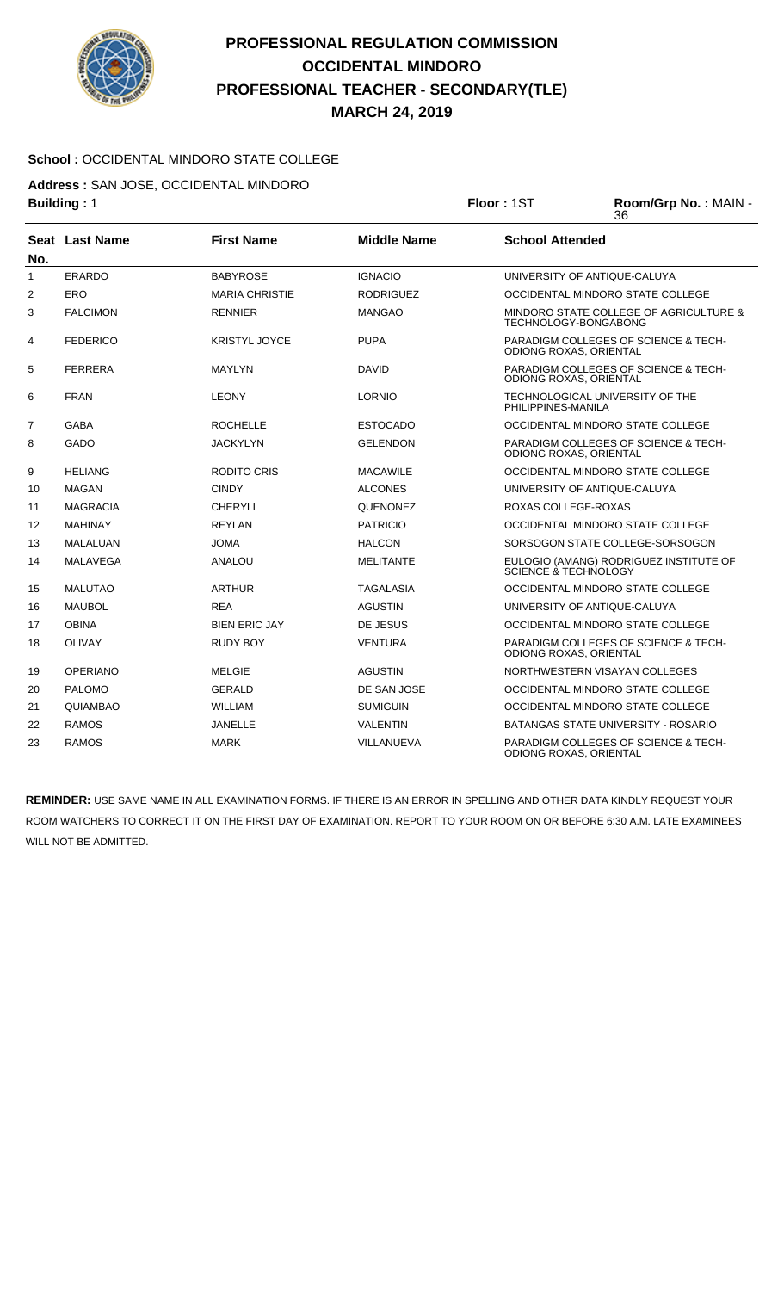

# **PROFESSIONAL REGULATION COMMISSION OCCIDENTAL MINDORO PROFESSIONAL TEACHER - SECONDARY(TLE) MARCH 24, 2019**

### **School :** OCCIDENTAL MINDORO STATE COLLEGE

**Address :** SAN JOSE, OCCIDENTAL MINDORO

|     | <b>Building: 1</b> |                       | Floor: 1ST         | Room/Grp No.: MAIN -<br>36      |                                                                |
|-----|--------------------|-----------------------|--------------------|---------------------------------|----------------------------------------------------------------|
| No. | Seat Last Name     | <b>First Name</b>     | <b>Middle Name</b> | <b>School Attended</b>          |                                                                |
| 1   | <b>ERARDO</b>      | <b>BABYROSE</b>       | <b>IGNACIO</b>     |                                 | UNIVERSITY OF ANTIQUE-CALUYA                                   |
| 2   | <b>ERO</b>         | <b>MARIA CHRISTIE</b> | <b>RODRIGUEZ</b>   |                                 | OCCIDENTAL MINDORO STATE COLLEGE                               |
| 3   | <b>FALCIMON</b>    | <b>RENNIER</b>        | <b>MANGAO</b>      |                                 | MINDORO STATE COLLEGE OF AGRICULTURE &<br>TECHNOLOGY-BONGABONG |
| 4   | <b>FEDERICO</b>    | <b>KRISTYL JOYCE</b>  | <b>PUPA</b>        | ODIONG ROXAS, ORIENTAL          | PARADIGM COLLEGES OF SCIENCE & TECH-                           |
| 5   | <b>FERRERA</b>     | <b>MAYLYN</b>         | <b>DAVID</b>       | ODIONG ROXAS, ORIENTAL          | PARADIGM COLLEGES OF SCIENCE & TECH-                           |
| 6   | <b>FRAN</b>        | <b>LEONY</b>          | <b>LORNIO</b>      | PHILIPPINES-MANILA              | TECHNOLOGICAL UNIVERSITY OF THE                                |
| 7   | <b>GABA</b>        | <b>ROCHELLE</b>       | <b>ESTOCADO</b>    |                                 | OCCIDENTAL MINDORO STATE COLLEGE                               |
| 8   | <b>GADO</b>        | <b>JACKYLYN</b>       | <b>GELENDON</b>    | ODIONG ROXAS, ORIENTAL          | <b>PARADIGM COLLEGES OF SCIENCE &amp; TECH-</b>                |
| 9   | <b>HELIANG</b>     | <b>RODITO CRIS</b>    | <b>MACAWILE</b>    |                                 | OCCIDENTAL MINDORO STATE COLLEGE                               |
| 10  | <b>MAGAN</b>       | <b>CINDY</b>          | <b>ALCONES</b>     |                                 | UNIVERSITY OF ANTIQUE-CALUYA                                   |
| 11  | <b>MAGRACIA</b>    | <b>CHERYLL</b>        | <b>QUENONEZ</b>    | ROXAS COLLEGE-ROXAS             |                                                                |
| 12  | <b>MAHINAY</b>     | <b>REYLAN</b>         | <b>PATRICIO</b>    |                                 | OCCIDENTAL MINDORO STATE COLLEGE                               |
| 13  | MALALUAN           | <b>JOMA</b>           | <b>HALCON</b>      |                                 | SORSOGON STATE COLLEGE-SORSOGON                                |
| 14  | MALAVEGA           | ANALOU                | <b>MELITANTE</b>   | <b>SCIENCE &amp; TECHNOLOGY</b> | EULOGIO (AMANG) RODRIGUEZ INSTITUTE OF                         |
| 15  | <b>MALUTAO</b>     | <b>ARTHUR</b>         | <b>TAGALASIA</b>   |                                 | OCCIDENTAL MINDORO STATE COLLEGE                               |
| 16  | <b>MAUBOL</b>      | <b>REA</b>            | <b>AGUSTIN</b>     |                                 | UNIVERSITY OF ANTIQUE-CALUYA                                   |
| 17  | <b>OBINA</b>       | <b>BIEN ERIC JAY</b>  | DE JESUS           |                                 | OCCIDENTAL MINDORO STATE COLLEGE                               |
| 18  | <b>OLIVAY</b>      | <b>RUDY BOY</b>       | <b>VENTURA</b>     | <b>ODIONG ROXAS, ORIENTAL</b>   | PARADIGM COLLEGES OF SCIENCE & TECH-                           |
| 19  | <b>OPERIANO</b>    | <b>MELGIE</b>         | <b>AGUSTIN</b>     |                                 | NORTHWESTERN VISAYAN COLLEGES                                  |
| 20  | <b>PALOMO</b>      | <b>GERALD</b>         | DE SAN JOSE        |                                 | OCCIDENTAL MINDORO STATE COLLEGE                               |
| 21  | QUIAMBAO           | <b>WILLIAM</b>        | <b>SUMIGUIN</b>    |                                 | OCCIDENTAL MINDORO STATE COLLEGE                               |
| 22  | <b>RAMOS</b>       | <b>JANELLE</b>        | <b>VALENTIN</b>    |                                 | BATANGAS STATE UNIVERSITY - ROSARIO                            |

**REMINDER:** USE SAME NAME IN ALL EXAMINATION FORMS. IF THERE IS AN ERROR IN SPELLING AND OTHER DATA KINDLY REQUEST YOUR ROOM WATCHERS TO CORRECT IT ON THE FIRST DAY OF EXAMINATION. REPORT TO YOUR ROOM ON OR BEFORE 6:30 A.M. LATE EXAMINEES WILL NOT BE ADMITTED.

23 RAMOS MARK VILLANUEVA PARADIGM COLLEGES OF SCIENCE & TECH-

ODIONG ROXAS, ORIENTAL